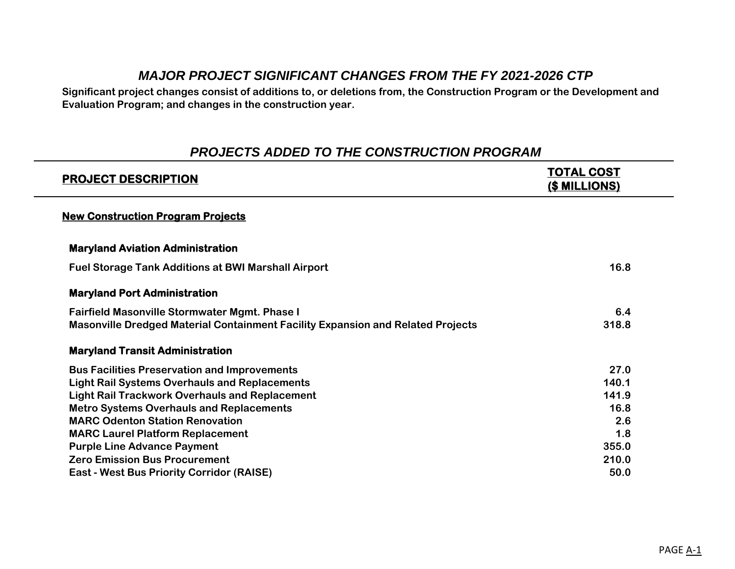# *MAJOR PROJECT SIGNIFICANT CHANGES FROM THE FY 2021-2026 CTP*

**Significant project changes consist of additions to, or deletions from, the Construction Program or the Development and Evaluation Program; and changes in the construction year.**

## *PROJECTS ADDED TO THE CONSTRUCTION PROGRAM*

| <b>PROJECT DESCRIPTION</b>                                                             | TOTAL COST<br>(\$ MILLIONS) |
|----------------------------------------------------------------------------------------|-----------------------------|
| <b>New Construction Program Projects</b>                                               |                             |
| <b>Maryland Aviation Administration</b>                                                |                             |
| <b>Fuel Storage Tank Additions at BWI Marshall Airport</b>                             | 16.8                        |
| <b>Maryland Port Administration</b>                                                    |                             |
| <b>Fairfield Masonville Stormwater Mgmt. Phase I</b>                                   | 6.4                         |
| <b>Masonville Dredged Material Containment Facility Expansion and Related Projects</b> | 318.8                       |
| <b>Maryland Transit Administration</b>                                                 |                             |
| <b>Bus Facilities Preservation and Improvements</b>                                    | 27.0                        |
| <b>Light Rail Systems Overhauls and Replacements</b>                                   | 140.1                       |
| <b>Light Rail Trackwork Overhauls and Replacement</b>                                  | 141.9                       |
| <b>Metro Systems Overhauls and Replacements</b>                                        | 16.8                        |
| <b>MARC Odenton Station Renovation</b>                                                 | 2.6                         |
| <b>MARC Laurel Platform Replacement</b>                                                | 1.8                         |
| <b>Purple Line Advance Payment</b>                                                     | 355.0                       |
| <b>Zero Emission Bus Procurement</b>                                                   | 210.0                       |
| <b>East - West Bus Priority Corridor (RAISE)</b>                                       | 50.0                        |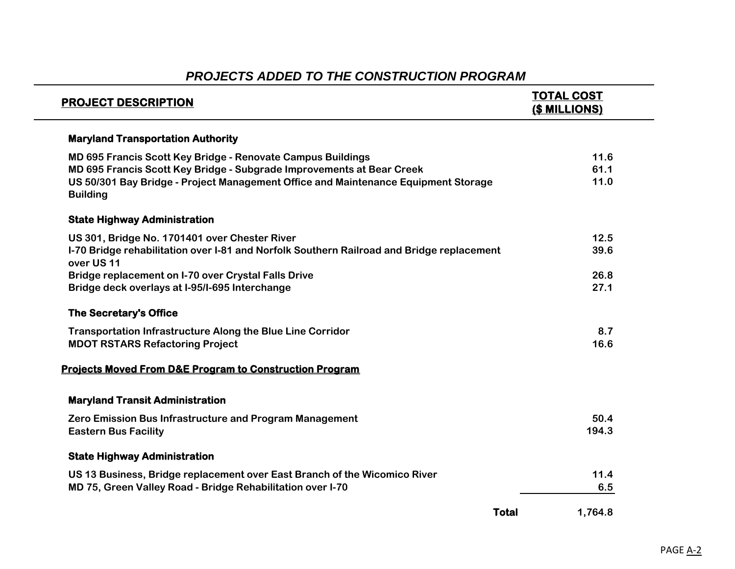| <b>PROJECT DESCRIPTION</b>                                                                              | <b>TOTAL COST</b><br>(\$ MILLIONS) |
|---------------------------------------------------------------------------------------------------------|------------------------------------|
| <b>Maryland Transportation Authority</b>                                                                |                                    |
| MD 695 Francis Scott Key Bridge - Renovate Campus Buildings                                             | 11.6                               |
| MD 695 Francis Scott Key Bridge - Subgrade Improvements at Bear Creek                                   | 61.1                               |
| US 50/301 Bay Bridge - Project Management Office and Maintenance Equipment Storage<br><b>Building</b>   | 11.0                               |
| <b>State Highway Administration</b>                                                                     |                                    |
| US 301, Bridge No. 1701401 over Chester River                                                           | 12.5                               |
| I-70 Bridge rehabilitation over I-81 and Norfolk Southern Railroad and Bridge replacement<br>over US 11 | 39.6                               |
| <b>Bridge replacement on I-70 over Crystal Falls Drive</b>                                              | 26.8                               |
| Bridge deck overlays at I-95/I-695 Interchange                                                          | 27.1                               |
| <b>The Secretary's Office</b>                                                                           |                                    |
| <b>Transportation Infrastructure Along the Blue Line Corridor</b>                                       | 8.7                                |
| <b>MDOT RSTARS Refactoring Project</b>                                                                  | 16.6                               |
| <b>Projects Moved From D&amp;E Program to Construction Program</b>                                      |                                    |
| <b>Maryland Transit Administration</b>                                                                  |                                    |
| Zero Emission Bus Infrastructure and Program Management                                                 | 50.4                               |
| <b>Eastern Bus Facility</b>                                                                             | 194.3                              |
| <b>State Highway Administration</b>                                                                     |                                    |
| US 13 Business, Bridge replacement over East Branch of the Wicomico River                               | 11.4                               |
| MD 75, Green Valley Road - Bridge Rehabilitation over I-70                                              | 6.5                                |
| <b>Total</b>                                                                                            | 1,764.8                            |

# *PROJECTS ADDED TO THE CONSTRUCTION PROGRAM*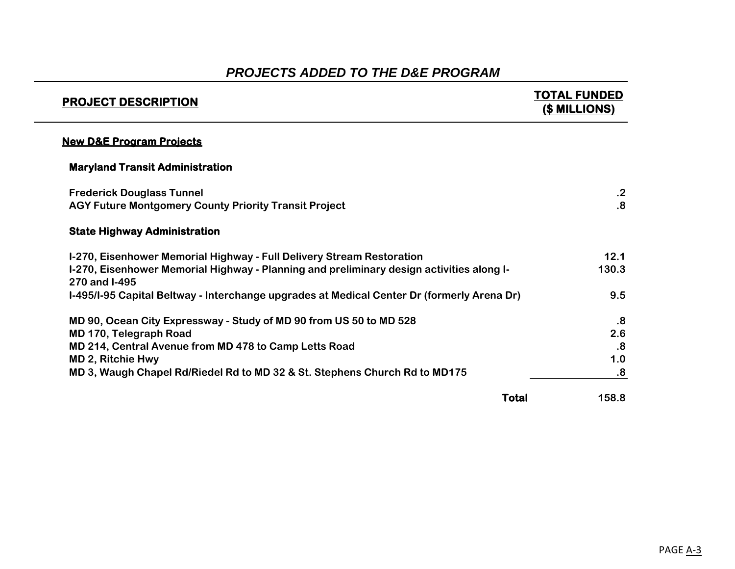| <b>PROJECT DESCRIPTION</b>                                                                                | TOTAL FUNDED<br><b>(\$ MILLIONS)</b> |
|-----------------------------------------------------------------------------------------------------------|--------------------------------------|
| <b>New D&amp;E Program Projects</b>                                                                       |                                      |
| <b>Maryland Transit Administration</b>                                                                    |                                      |
| <b>Frederick Douglass Tunnel</b>                                                                          | $\cdot$ .2                           |
| <b>AGY Future Montgomery County Priority Transit Project</b>                                              | $\overline{\mathbf{8}}$              |
| <b>State Highway Administration</b>                                                                       |                                      |
| I-270, Eisenhower Memorial Highway - Full Delivery Stream Restoration                                     | 12.1                                 |
| I-270, Eisenhower Memorial Highway - Planning and preliminary design activities along I-<br>270 and I-495 | 130.3                                |
| I-495/I-95 Capital Beltway - Interchange upgrades at Medical Center Dr (formerly Arena Dr)                | 9.5                                  |
| MD 90, Ocean City Expressway - Study of MD 90 from US 50 to MD 528                                        | $\boldsymbol{.8}$                    |
| MD 170, Telegraph Road                                                                                    | 2.6                                  |
| MD 214, Central Avenue from MD 478 to Camp Letts Road                                                     | $\overline{\mathbf{.8}}$             |
| MD 2, Ritchie Hwy                                                                                         | 1.0                                  |
| MD 3, Waugh Chapel Rd/Riedel Rd to MD 32 & St. Stephens Church Rd to MD175                                | .8                                   |
| <b>Total</b>                                                                                              | 158.8                                |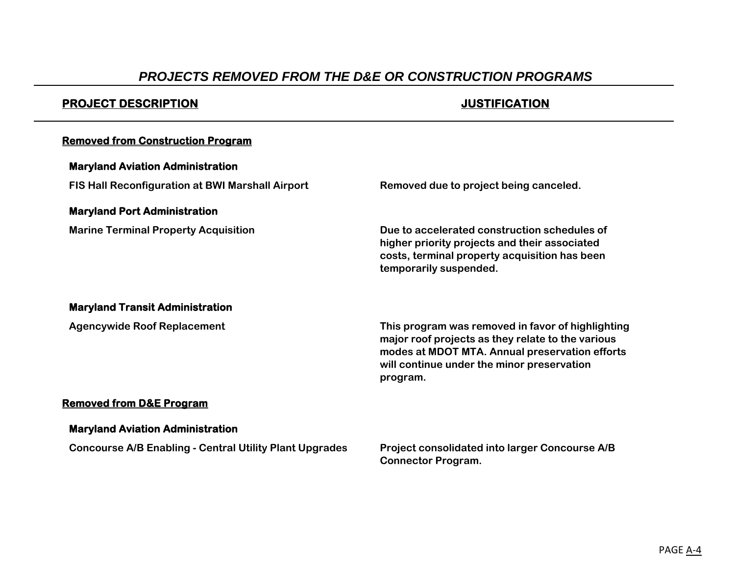## *PROJECTS REMOVED FROM THE D&E OR CONSTRUCTION PROGRAMS*

## **PROJECT DESCRIPTION JUSTIFICATION**

#### **Removed from Construction Program**

#### **Maryland Aviation Administration**

**FIS Hall Reconfiguration at BWI Marshall Airport Removed due to project being canceled.** 

#### **Maryland Port Administration**

**Marine Terminal Property Acquisition Due to accelerated construction schedules of higher priority projects and their associated costs, terminal property acquisition has been temporarily suspended.** 

#### **Maryland Transit Administration**

**Agencywide Roof Replacement This program was removed in favor of highlighting major roof projects as they relate to the various modes at MDOT MTA. Annual preservation efforts will continue under the minor preservation program.**

### **Removed from D&E Program**

#### **Maryland Aviation Administration**

**Concourse A/B Enabling - Central Utility Plant Upgrades Project consolidated into larger Concourse A/B** 

**Connector Program.**